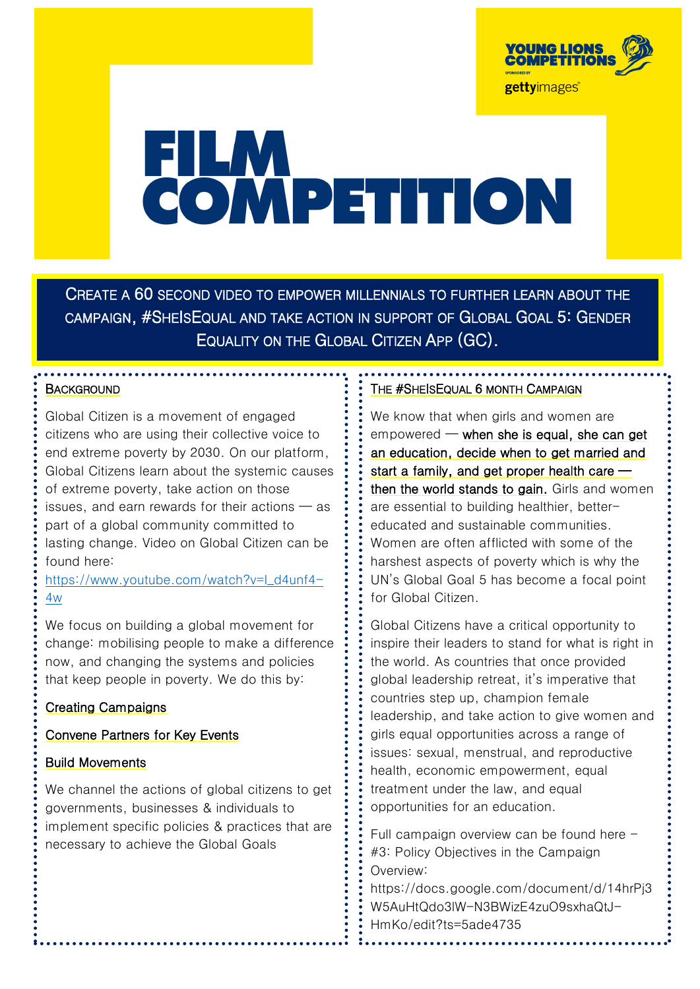

# **FILM**<br>COMPETITION

CREATE A 60 SECOND VIDEO TO EMPOWER MILLENNIALS TO FURTHER LEARN ABOUT THE CAMPAIGN, #SHEISEQUAL AND TAKE ACTION IN SUPPORT OF GLOBAL GOAL 5: GENDER EQUALITY ON THE GLOBAL CITIZEN APP (GC).

### **BACKGROUND**

Global Citizen is a movement of engaged citizens who are using their collective voice to end extreme poverty by 2030. On our platform, Global Citizens learn about the systemic causes of extreme poverty, take action on those issues, and earn rewards for their actions — as part of a global community committed to lasting change. Video on Global Citizen can be found here:

[https://www.youtube.com/watch?v=I\\_d4unf4-](https://www.youtube.com/watch?v=I_d4unf4-4w) [4w](https://www.youtube.com/watch?v=I_d4unf4-4w)

We focus on building a global movement for change: mobilising people to make a difference now, and changing the systems and policies that keep people in poverty. We do this by:

### Creating Campaigns

### Convene Partners for Key Events

### Build Movements

We channel the actions of global citizens to get governments, businesses & individuals to implement specific policies & practices that are necessary to achieve the Global Goals

### THE #SHEISEQUAL 6 MONTH CAMPAIGN

We know that when girls and women are  $em$ powered  $-$  when she is equal, she can get an education, decide when to get married and start a family, and get proper health care  $$ then the world stands to gain. Girls and women are essential to building healthier, bettereducated and sustainable communities. Women are often afflicted with some of the harshest aspects of poverty which is why the UN's Global Goal 5 has become a focal point for Global Citizen.

Global Citizens have a critical opportunity to inspire their leaders to stand for what is right in the world. As countries that once provided global leadership retreat, it's imperative that countries step up, champion female leadership, and take action to give women and girls equal opportunities across a range of issues: sexual, menstrual, and reproductive health, economic empowerment, equal treatment under the law, and equal opportunities for an education.

Full campaign overview can be found here  $-$ #3: Policy Objectives in the Campaign Overview:

https://docs.google.com/document/d/14hrPj3 W5AuHtQdo3lW-N3BWizE4zuO9sxhaQtJ-HmKo/edit?ts=5ade4735